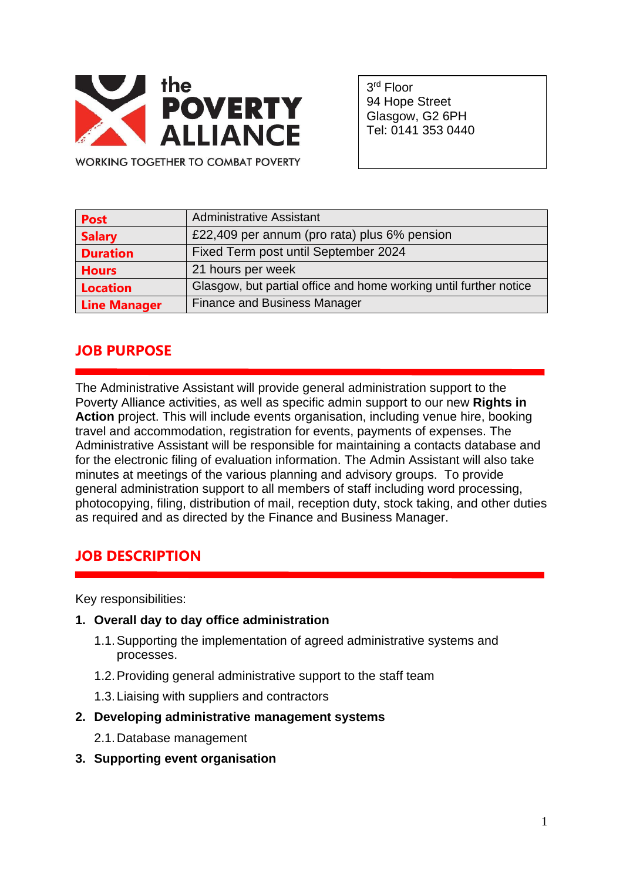

3 rd Floor 94 Hope Street Glasgow, G2 6PH Tel: 0141 353 0440

**WORKING TOGETHER TO COMBAT POVERTY** 

| <b>Post</b>         | <b>Administrative Assistant</b>                                   |
|---------------------|-------------------------------------------------------------------|
| <b>Salary</b>       | £22,409 per annum (pro rata) plus 6% pension                      |
| <b>Duration</b>     | Fixed Term post until September 2024                              |
| <b>Hours</b>        | 21 hours per week                                                 |
| <b>Location</b>     | Glasgow, but partial office and home working until further notice |
| <b>Line Manager</b> | <b>Finance and Business Manager</b>                               |

# **JOB PURPOSE**

The Administrative Assistant will provide general administration support to the Poverty Alliance activities, as well as specific admin support to our new **Rights in Action** project. This will include events organisation, including venue hire, booking travel and accommodation, registration for events, payments of expenses. The Administrative Assistant will be responsible for maintaining a contacts database and for the electronic filing of evaluation information. The Admin Assistant will also take minutes at meetings of the various planning and advisory groups. To provide general administration support to all members of staff including word processing, photocopying, filing, distribution of mail, reception duty, stock taking, and other duties as required and as directed by the Finance and Business Manager.

# **JOB DESCRIPTION**

Key responsibilities:

- **1. Overall day to day office administration**
	- 1.1.Supporting the implementation of agreed administrative systems and processes.
	- 1.2.Providing general administrative support to the staff team
	- 1.3.Liaising with suppliers and contractors
- **2. Developing administrative management systems**
	- 2.1.Database management
- **3. Supporting event organisation**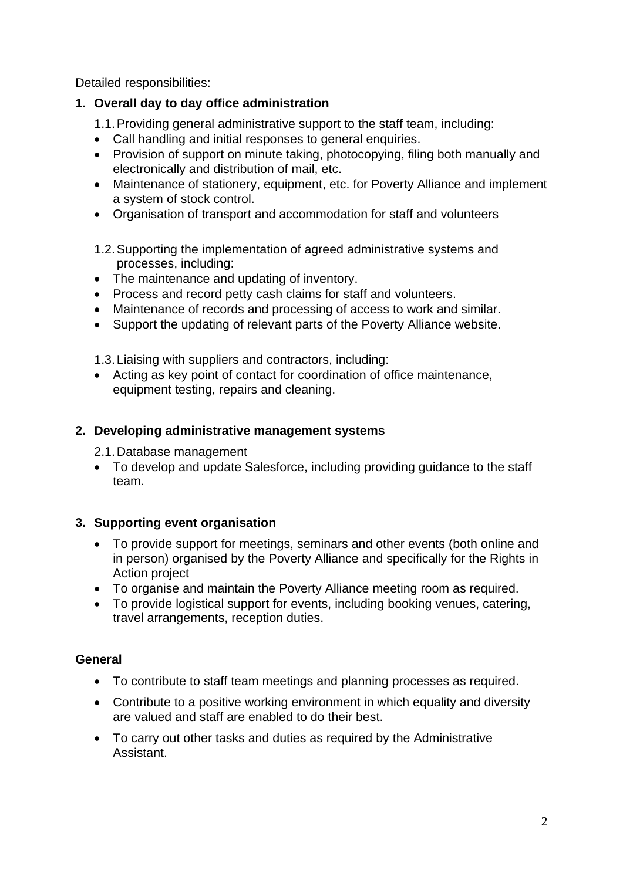Detailed responsibilities:

### **1. Overall day to day office administration**

- 1.1.Providing general administrative support to the staff team, including:
- Call handling and initial responses to general enquiries.
- Provision of support on minute taking, photocopying, filing both manually and electronically and distribution of mail, etc.
- Maintenance of stationery, equipment, etc. for Poverty Alliance and implement a system of stock control.
- Organisation of transport and accommodation for staff and volunteers
- 1.2.Supporting the implementation of agreed administrative systems and processes, including:
- The maintenance and updating of inventory.
- Process and record petty cash claims for staff and volunteers.
- Maintenance of records and processing of access to work and similar.
- Support the updating of relevant parts of the Poverty Alliance website.
- 1.3.Liaising with suppliers and contractors, including:
- Acting as key point of contact for coordination of office maintenance, equipment testing, repairs and cleaning.

### **2. Developing administrative management systems**

2.1.Database management

• To develop and update Salesforce, including providing guidance to the staff team.

### **3. Supporting event organisation**

- To provide support for meetings, seminars and other events (both online and in person) organised by the Poverty Alliance and specifically for the Rights in Action project
- To organise and maintain the Poverty Alliance meeting room as required.
- To provide logistical support for events, including booking venues, catering, travel arrangements, reception duties.

## **General**

- To contribute to staff team meetings and planning processes as required.
- Contribute to a positive working environment in which equality and diversity are valued and staff are enabled to do their best.
- To carry out other tasks and duties as required by the Administrative Assistant.